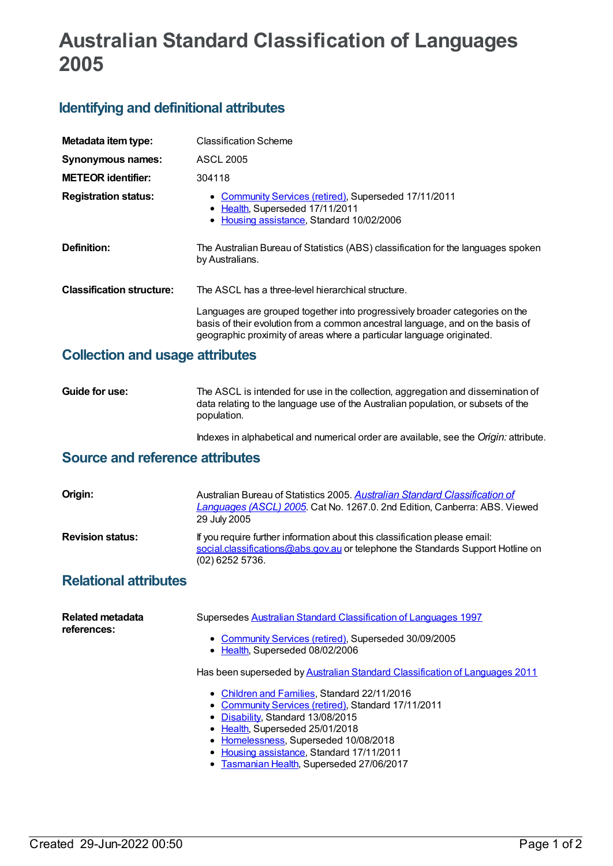# **Australian Standard Classification of Languages 2005**

## **Identifying and definitional attributes**

| Metadata item type:              | <b>Classification Scheme</b>                                                                                                                                                                                                           |
|----------------------------------|----------------------------------------------------------------------------------------------------------------------------------------------------------------------------------------------------------------------------------------|
| <b>Synonymous names:</b>         | <b>ASCL 2005</b>                                                                                                                                                                                                                       |
| <b>METEOR identifier:</b>        | 304118                                                                                                                                                                                                                                 |
| <b>Registration status:</b>      | • Community Services (retired), Superseded 17/11/2011<br>• Health, Superseded 17/11/2011<br>• Housing assistance, Standard 10/02/2006                                                                                                  |
| Definition:                      | The Australian Bureau of Statistics (ABS) classification for the languages spoken<br>by Australians.                                                                                                                                   |
| <b>Classification structure:</b> | The ASCL has a three-level hierarchical structure.                                                                                                                                                                                     |
|                                  | Languages are grouped together into progressively broader categories on the<br>basis of their evolution from a common ancestral language, and on the basis of<br>geographic proximity of areas where a particular language originated. |

#### **Collection and usage attributes**

**Guide for use:** The ASCL is intended for use in the collection, aggregation and dissemination of data relating to the language use of the Australian population, or subsets of the population.

Indexes in alphabetical and numerical order are available, see the *Origin:* attribute.

### **Source and reference attributes**

| Origin:                 | Australian Bureau of Statistics 2005. Australian Standard Classification of<br>Languages (ASCL) 2005. Cat No. 1267.0. 2nd Edition, Canberra: ABS. Viewed<br>29 July 2005           |
|-------------------------|------------------------------------------------------------------------------------------------------------------------------------------------------------------------------------|
| <b>Revision status:</b> | If you require further information about this classification please email:<br>social.classifications@abs.gov.au or telephone the Standards Support Hotline on<br>$(02)$ 6252 5736. |

## **Relational attributes**

| Related metadata<br>references: | Supersedes Australian Standard Classification of Languages 1997                          |
|---------------------------------|------------------------------------------------------------------------------------------|
|                                 | • Community Services (retired), Superseded 30/09/2005<br>• Health, Superseded 08/02/2006 |
|                                 | Has been superseded by Australian Standard Classification of Languages 2011              |
|                                 | • Children and Families, Standard 22/11/2016                                             |
|                                 | • Community Services (retired), Standard 17/11/2011                                      |
|                                 | • Disability, Standard 13/08/2015                                                        |
|                                 | • Health, Superseded 25/01/2018                                                          |
|                                 | • Homelessness, Superseded 10/08/2018                                                    |
|                                 | • Housing assistance, Standard 17/11/2011                                                |

[Tasmanian](https://meteor.aihw.gov.au/RegistrationAuthority/15) Health, Superseded 27/06/2017